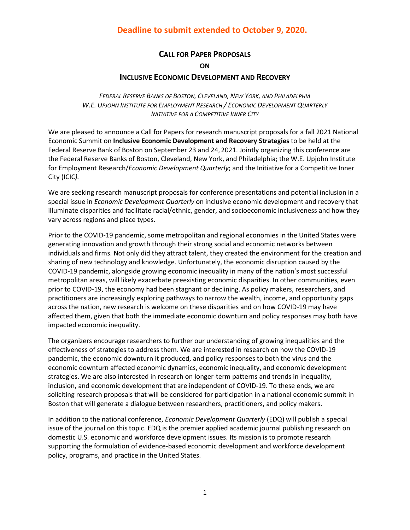# **Deadline to submit extended to October 9, 2020.**

# **CALL FOR PAPER PROPOSALS**

# **ON**

# **INCLUSIVE ECONOMIC DEVELOPMENT AND RECOVERY**

*FEDERAL RESERVE BANKS OF BOSTON, CLEVELAND, NEW YORK, AND PHILADELPHIA W.E. UPJOHN INSTITUTE FOR EMPLOYMENT RESEARCH / ECONOMIC DEVELOPMENT QUARTERLY INITIATIVE FOR A COMPETITIVE INNER CITY*

We are pleased to announce a Call for Papers for research manuscript proposals for a fall 2021 National Economic Summit on **Inclusive Economic Development and Recovery Strategies** to be held at the Federal Reserve Bank of Boston on September 23 and 24, 2021. Jointly organizing this conference are the Federal Reserve Banks of Boston, Cleveland, New York, and Philadelphia; the W.E. Upjohn Institute for Employment Research/*Economic Development Quarterly*; and the Initiative for a Competitive Inner City (ICIC*).* 

We are seeking research manuscript proposals for conference presentations and potential inclusion in a special issue in *Economic Development Quarterly* on inclusive economic development and recovery that illuminate disparities and facilitate racial/ethnic, gender, and socioeconomic inclusiveness and how they vary across regions and place types.

Prior to the COVID-19 pandemic, some metropolitan and regional economies in the United States were generating innovation and growth through their strong social and economic networks between individuals and firms. Not only did they attract talent, they created the environment for the creation and sharing of new technology and knowledge. Unfortunately, the economic disruption caused by the COVID-19 pandemic, alongside growing economic inequality in many of the nation's most successful metropolitan areas, will likely exacerbate preexisting economic disparities. In other communities, even prior to COVID-19, the economy had been stagnant or declining. As policy makers, researchers, and practitioners are increasingly exploring pathways to narrow the wealth, income, and opportunity gaps across the nation, new research is welcome on these disparities and on how COVID-19 may have affected them, given that both the immediate economic downturn and policy responses may both have impacted economic inequality.

The organizers encourage researchers to further our understanding of growing inequalities and the effectiveness of strategies to address them. We are interested in research on how the COVID-19 pandemic, the economic downturn it produced, and policy responses to both the virus and the economic downturn affected economic dynamics, economic inequality, and economic development strategies. We are also interested in research on longer-term patterns and trends in inequality, inclusion, and economic development that are independent of COVID-19. To these ends, we are soliciting research proposals that will be considered for participation in a national economic summit in Boston that will generate a dialogue between researchers, practitioners, and policy makers.

In addition to the national conference, *Economic Development Quarterly* (EDQ) will publish a special issue of the journal on this topic. EDQ is the premier applied academic journal publishing research on domestic U.S. economic and workforce development issues. Its mission is to promote research supporting the formulation of evidence-based economic development and workforce development policy, programs, and practice in the United States.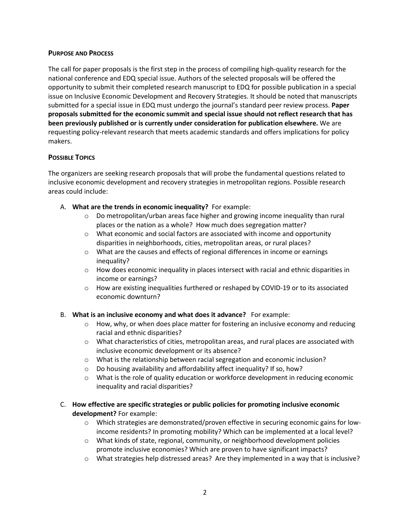#### **PURPOSE AND PROCESS**

The call for paper proposals is the first step in the process of compiling high-quality research for the national conference and EDQ special issue. Authors of the selected proposals will be offered the opportunity to submit their completed research manuscript to EDQ for possible publication in a special issue on Inclusive Economic Development and Recovery Strategies. It should be noted that manuscripts submitted for a special issue in EDQ must undergo the journal's standard peer review process. **Paper proposals submitted for the economic summit and special issue should not reflect research that has been previously published or is currently under consideration for publication elsewhere.** We are requesting policy-relevant research that meets academic standards and offers implications for policy makers.

# **POSSIBLE TOPICS**

The organizers are seeking research proposals that will probe the fundamental questions related to inclusive economic development and recovery strategies in metropolitan regions. Possible research areas could include:

- A. **What are the trends in economic inequality?** For example:
	- $\circ$  Do metropolitan/urban areas face higher and growing income inequality than rural places or the nation as a whole? How much does segregation matter?
	- $\circ$  What economic and social factors are associated with income and opportunity disparities in neighborhoods, cities, metropolitan areas, or rural places?
	- o What are the causes and effects of regional differences in income or earnings inequality?
	- $\circ$  How does economic inequality in places intersect with racial and ethnic disparities in income or earnings?
	- o How are existing inequalities furthered or reshaped by COVID-19 or to its associated economic downturn?
- B. **What is an inclusive economy and what does it advance?** For example:
	- $\circ$  How, why, or when does place matter for fostering an inclusive economy and reducing racial and ethnic disparities?
	- o What characteristics of cities, metropolitan areas, and rural places are associated with inclusive economic development or its absence?
	- $\circ$  What is the relationship between racial segregation and economic inclusion?
	- o Do housing availability and affordability affect inequality? If so, how?
	- o What is the role of quality education or workforce development in reducing economic inequality and racial disparities?
- C. **How effective are specific strategies or public policies for promoting inclusive economic development?** For example:
	- o Which strategies are demonstrated/proven effective in securing economic gains for lowincome residents? In promoting mobility? Which can be implemented at a local level?
	- $\circ$  What kinds of state, regional, community, or neighborhood development policies promote inclusive economies? Which are proven to have significant impacts?
	- $\circ$  What strategies help distressed areas? Are they implemented in a way that is inclusive?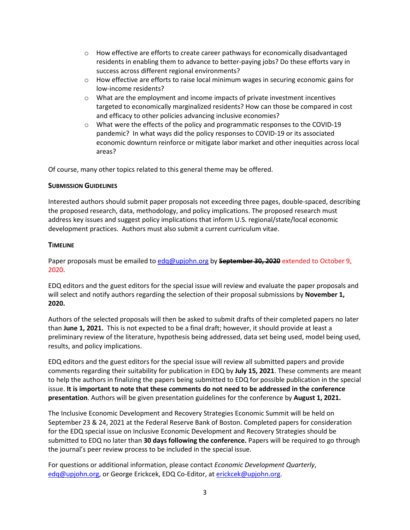- o How effective are efforts to create career pathways for economically disadvantaged residents in enabling them to advance to better-paying jobs? Do these efforts vary in success across different regional environments?
- o How effective are efforts to raise local minimum wages in securing economic gains for low-income residents?
- o What are the employment and income impacts of private investment incentives targeted to economically marginalized residents? How can those be compared in cost and efficacy to other policies advancing inclusive economies?
- o What were the effects of the policy and programmatic responses to the COVID-19 pandemic? In what ways did the policy responses to COVID-19 or its associated economic downturn reinforce or mitigate labor market and other inequities across local areas?

Of course, many other topics related to this general theme may be offered.

# **SUBMISSION GUIDELINES**

Interested authors should submit paper proposals not exceeding three pages, double-spaced, describing the proposed research, data, methodology, and policy implications. The proposed research must address key issues and suggest policy implications that inform U.S. regional/state/local economic development practices. Authors must also submit a current curriculum vitae.

# **TIMELINE**

Paper proposals must be emailed t[o edq@upjohn.org](mailto:edq@upjohn.org) by **September 30, 2020** extended to October 9, 2020.

EDQ editors and the guest editors for the special issue will review and evaluate the paper proposals and will select and notify authors regarding the selection of their proposal submissions by **November 1, 2020.**

Authors of the selected proposals will then be asked to submit drafts of their completed papers no later than **June 1, 2021.** This is not expected to be a final draft; however, it should provide at least a preliminary review of the literature, hypothesis being addressed, data set being used, model being used, results, and policy implications.

EDQ editors and the guest editors for the special issue will review all submitted papers and provide comments regarding their suitability for publication in EDQ by **July 15, 2021**. These comments are meant to help the authors in finalizing the papers being submitted to EDQ for possible publication in the special issue. **It is important to note that these comments do not need to be addressed in the conference presentation**. Authors will be given presentation guidelines for the conference by **August 1, 2021.**

The Inclusive Economic Development and Recovery Strategies Economic Summit will be held on September 23 & 24, 2021 at the Federal Reserve Bank of Boston. Completed papers for consideration for the EDQ special issue on Inclusive Economic Development and Recovery Strategies should be submitted to EDQ no later than **30 days following the conference.** Papers will be required to go through the journal's peer review process to be included in the special issue.

For questions or additional information, please contact *Economic Development Quarterly*, [edq@upjohn.org,](mailto:edq@upjohn.org) or George Erickcek, EDQ Co-Editor, at [erickcek@upjohn.org.](mailto:erickcek@upjohn.org)